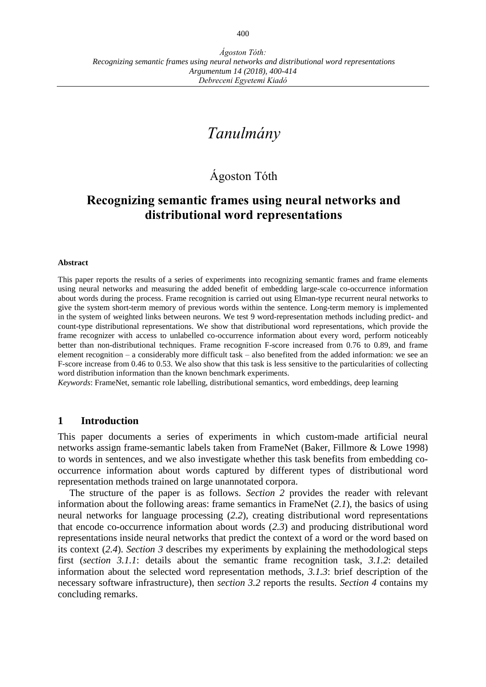# *Tanulmány*

## Ágoston Tóth

## **Recognizing semantic frames using neural networks and distributional word representations**

#### **Abstract**

This paper reports the results of a series of experiments into recognizing semantic frames and frame elements using neural networks and measuring the added benefit of embedding large-scale co-occurrence information about words during the process. Frame recognition is carried out using Elman-type recurrent neural networks to give the system short-term memory of previous words within the sentence. Long-term memory is implemented in the system of weighted links between neurons. We test 9 word-representation methods including predict- and count-type distributional representations. We show that distributional word representations, which provide the frame recognizer with access to unlabelled co-occurrence information about every word, perform noticeably better than non-distributional techniques. Frame recognition F-score increased from 0.76 to 0.89, and frame element recognition – a considerably more difficult task – also benefited from the added information: we see an F-score increase from 0.46 to 0.53. We also show that this task is less sensitive to the particularities of collecting word distribution information than the known benchmark experiments.

*Keywords*: FrameNet, semantic role labelling, distributional semantics, word embeddings, deep learning

#### **1 Introduction**

This paper documents a series of experiments in which custom-made artificial neural networks assign frame-semantic labels taken from FrameNet (Baker, Fillmore & Lowe 1998) to words in sentences, and we also investigate whether this task benefits from embedding cooccurrence information about words captured by different types of distributional word representation methods trained on large unannotated corpora.

The structure of the paper is as follows. *Section 2* provides the reader with relevant information about the following areas: frame semantics in FrameNet (*2.1*), the basics of using neural networks for language processing (*2.2*), creating distributional word representations that encode co-occurrence information about words (*2.3*) and producing distributional word representations inside neural networks that predict the context of a word or the word based on its context (*2.4*). *Section 3* describes my experiments by explaining the methodological steps first (*section 3.1.1*: details about the semantic frame recognition task, *3.1.2*: detailed information about the selected word representation methods, *3.1.3*: brief description of the necessary software infrastructure), then *section 3.2* reports the results. *Section 4* contains my concluding remarks.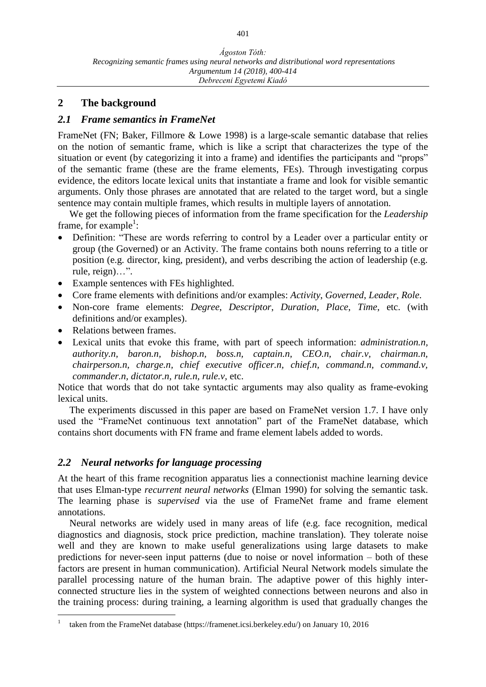#### **2 The background**

#### *2.1 Frame semantics in FrameNet*

FrameNet (FN; Baker, Fillmore & Lowe 1998) is a large-scale semantic database that relies on the notion of semantic frame, which is like a script that characterizes the type of the situation or event (by categorizing it into a frame) and identifies the participants and "props" of the semantic frame (these are the frame elements, FEs). Through investigating corpus evidence, the editors locate lexical units that instantiate a frame and look for visible semantic arguments. Only those phrases are annotated that are related to the target word, but a single sentence may contain multiple frames, which results in multiple layers of annotation.

We get the following pieces of information from the frame specification for the *Leadership* frame, for example<sup>1</sup>:

- Definition: "These are words referring to control by a Leader over a particular entity or group (the Governed) or an Activity. The frame contains both nouns referring to a title or position (e.g. director, king, president), and verbs describing the action of leadership (e.g. rule, reign)…".
- Example sentences with FEs highlighted.
- Core frame elements with definitions and/or examples: *Activity*, *Governed*, *Leader*, *Role*.
- Non-core frame elements: *Degree*, *Descriptor*, *Duration*, *Place*, *Time*, etc. (with definitions and/or examples).
- Relations between frames.

 $\overline{a}$ 

 Lexical units that evoke this frame, with part of speech information: *administration.n, authority.n, baron.n, bishop.n, boss.n, captain.n, CEO.n, chair.v, chairman.n, chairperson.n, charge.n, chief executive officer.n, chief.n, command.n, command.v, commander.n, dictator.n, rule.n, rule.v,* etc.

Notice that words that do not take syntactic arguments may also quality as frame-evoking lexical units.

The experiments discussed in this paper are based on FrameNet version 1.7. I have only used the "FrameNet continuous text annotation" part of the FrameNet database, which contains short documents with FN frame and frame element labels added to words.

#### *2.2 Neural networks for language processing*

At the heart of this frame recognition apparatus lies a connectionist machine learning device that uses Elman-type *recurrent neural networks* (Elman 1990) for solving the semantic task. The learning phase is *supervised* via the use of FrameNet frame and frame element annotations.

Neural networks are widely used in many areas of life (e.g. face recognition, medical diagnostics and diagnosis, stock price prediction, machine translation). They tolerate noise well and they are known to make useful generalizations using large datasets to make predictions for never-seen input patterns (due to noise or novel information – both of these factors are present in human communication). Artificial Neural Network models simulate the parallel processing nature of the human brain. The adaptive power of this highly interconnected structure lies in the system of weighted connections between neurons and also in the training process: during training, a learning algorithm is used that gradually changes the

<sup>1</sup> taken from the FrameNet database (https://framenet.icsi.berkeley.edu/) on January 10, 2016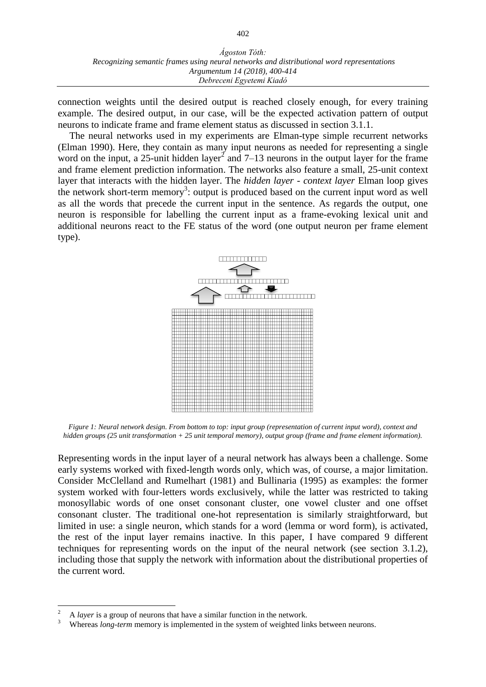connection weights until the desired output is reached closely enough, for every training example. The desired output, in our case, will be the expected activation pattern of output neurons to indicate frame and frame element status as discussed in section 3.1.1.

The neural networks used in my experiments are Elman-type simple recurrent networks (Elman 1990). Here, they contain as many input neurons as needed for representing a single word on the input, a 25-unit hidden layer<sup>2</sup> and 7–13 neurons in the output layer for the frame and frame element prediction information. The networks also feature a small, 25-unit context layer that interacts with the hidden layer. The *hidden layer - context layer* Elman loop gives the network short-term memory<sup>3</sup>: output is produced based on the current input word as well as all the words that precede the current input in the sentence. As regards the output, one neuron is responsible for labelling the current input as a frame-evoking lexical unit and additional neurons react to the FE status of the word (one output neuron per frame element type).



*Figure 1: Neural network design. From bottom to top: input group (representation of current input word), context and hidden groups (25 unit transformation + 25 unit temporal memory), output group (frame and frame element information).*

Representing words in the input layer of a neural network has always been a challenge. Some early systems worked with fixed-length words only, which was, of course, a major limitation. Consider McClelland and Rumelhart (1981) and Bullinaria (1995) as examples: the former system worked with four-letters words exclusively, while the latter was restricted to taking monosyllabic words of one onset consonant cluster, one vowel cluster and one offset consonant cluster. The traditional one-hot representation is similarly straightforward, but limited in use: a single neuron, which stands for a word (lemma or word form), is activated, the rest of the input layer remains inactive. In this paper, I have compared 9 different techniques for representing words on the input of the neural network (see section 3.1.2), including those that supply the network with information about the distributional properties of the current word.

 $\overline{2}$ <sup>2</sup> A *layer* is a group of neurons that have a similar function in the network.

<sup>3</sup> Whereas *long-term* memory is implemented in the system of weighted links between neurons.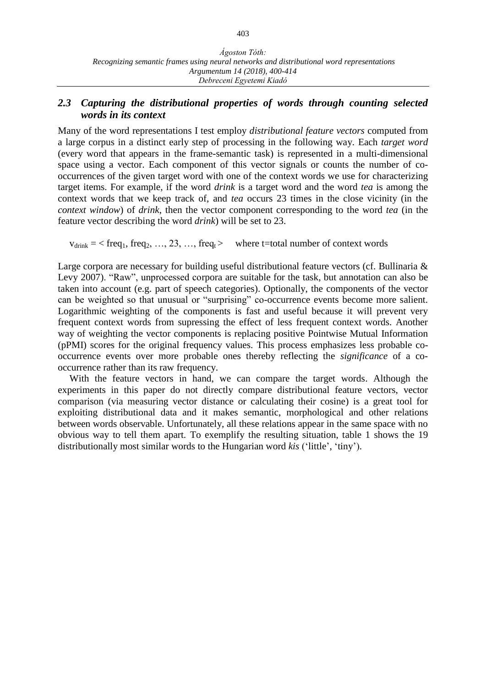#### *2.3 Capturing the distributional properties of words through counting selected words in its context*

Many of the word representations I test employ *distributional feature vectors* computed from a large corpus in a distinct early step of processing in the following way. Each *target word* (every word that appears in the frame-semantic task) is represented in a multi-dimensional space using a vector. Each component of this vector signals or counts the number of cooccurrences of the given target word with one of the context words we use for characterizing target items. For example, if the word *drink* is a target word and the word *tea* is among the context words that we keep track of, and *tea* occurs 23 times in the close vicinity (in the *context window*) of *drink*, then the vector component corresponding to the word *tea* (in the feature vector describing the word *drink*) will be set to 23.

 $v_{\text{drink}} = \langle \text{freq}_1, \text{freq}_2, \dots, 23, \dots, \text{freq}_t \rangle$  where t=total number of context words

Large corpora are necessary for building useful distributional feature vectors (cf. Bullinaria & Levy 2007). "Raw", unprocessed corpora are suitable for the task, but annotation can also be taken into account (e.g. part of speech categories). Optionally, the components of the vector can be weighted so that unusual or "surprising" co-occurrence events become more salient. Logarithmic weighting of the components is fast and useful because it will prevent very frequent context words from supressing the effect of less frequent context words. Another way of weighting the vector components is replacing positive Pointwise Mutual Information (pPMI) scores for the original frequency values. This process emphasizes less probable cooccurrence events over more probable ones thereby reflecting the *significance* of a cooccurrence rather than its raw frequency.

With the feature vectors in hand, we can compare the target words. Although the experiments in this paper do not directly compare distributional feature vectors, vector comparison (via measuring vector distance or calculating their cosine) is a great tool for exploiting distributional data and it makes semantic, morphological and other relations between words observable. Unfortunately, all these relations appear in the same space with no obvious way to tell them apart. To exemplify the resulting situation, table 1 shows the 19 distributionally most similar words to the Hungarian word *kis* ('little', 'tiny').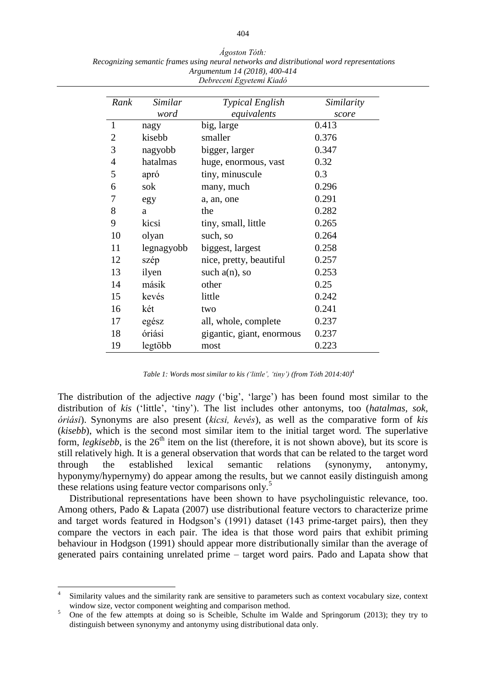*Ágoston Tóth: Recognizing semantic frames using neural networks and distributional word representations Argumentum 14 (2018), 400-414 Debreceni Egyetemi Kiadó*

| Rank         | Similar    | <b>Typical English</b>    | Similarity |
|--------------|------------|---------------------------|------------|
|              | word       | equivalents               | score      |
| $\mathbf{1}$ | nagy       | big, large                | 0.413      |
| 2            | kisebb     | smaller                   | 0.376      |
| 3            | nagyobb    | bigger, larger            | 0.347      |
| 4            | hatalmas   | huge, enormous, vast      | 0.32       |
| 5            | apró       | tiny, minuscule           | 0.3        |
| 6            | sok        | many, much                | 0.296      |
| 7            | egy        | a, an, one                | 0.291      |
| 8            | a          | the                       | 0.282      |
| 9            | kicsi      | tiny, small, little       | 0.265      |
| 10           | olyan      | such, so                  | 0.264      |
| 11           | legnagyobb | biggest, largest          | 0.258      |
| 12           | szép       | nice, pretty, beautiful   | 0.257      |
| 13           | ilyen      | such $a(n)$ , so          | 0.253      |
| 14           | másik      | other                     | 0.25       |
| 15           | kevés      | little                    | 0.242      |
| 16           | két        | two                       | 0.241      |
| 17           | egész      | all, whole, complete      | 0.237      |
| 18           | óriási     | gigantic, giant, enormous | 0.237      |
| 19           | legtöbb    | most                      | 0.223      |

*Table 1: Words most similar to kis ('little', 'tiny') (from Tóth 2014:40)* 4

The distribution of the adjective *nagy* ('big', 'large') has been found most similar to the distribution of *kis* ('little', 'tiny'). The list includes other antonyms, too (*hatalmas, sok, óriási*). Synonyms are also present (*kicsi, kevés*), as well as the comparative form of *kis* (*kisebb*), which is the second most similar item to the initial target word*.* The superlative form, *legkisebb*, is the  $26<sup>th</sup>$  item on the list (therefore, it is not shown above), but its score is still relatively high. It is a general observation that words that can be related to the target word through the established lexical semantic relations (synonymy, antonymy, hyponymy/hypernymy) do appear among the results, but we cannot easily distinguish among these relations using feature vector comparisons only.<sup>5</sup>

Distributional representations have been shown to have psycholinguistic relevance, too. Among others, Pado & Lapata (2007) use distributional feature vectors to characterize prime and target words featured in Hodgson's (1991) dataset (143 prime-target pairs), then they compare the vectors in each pair. The idea is that those word pairs that exhibit priming behaviour in Hodgson (1991) should appear more distributionally similar than the average of generated pairs containing unrelated prime – target word pairs. Pado and Lapata show that

 $\overline{a}$ 

<sup>4</sup> Similarity values and the similarity rank are sensitive to parameters such as context vocabulary size, context window size, vector component weighting and comparison method.

<sup>5</sup> One of the few attempts at doing so is Scheible, Schulte im Walde and Springorum (2013); they try to distinguish between synonymy and antonymy using distributional data only.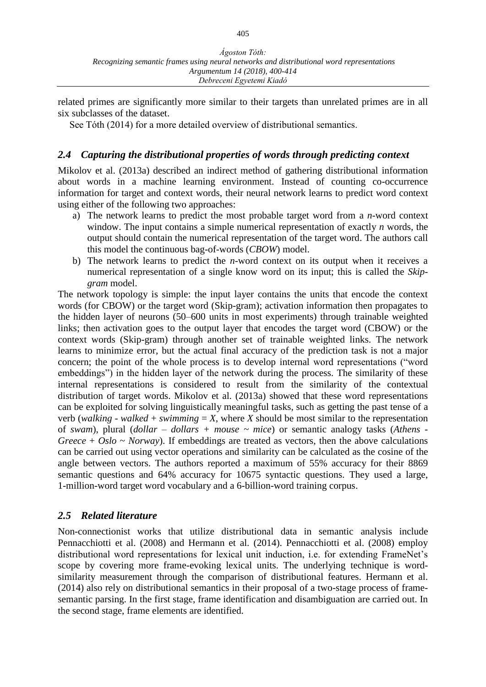related primes are significantly more similar to their targets than unrelated primes are in all six subclasses of the dataset.

See Tóth (2014) for a more detailed overview of distributional semantics.

### *2.4 Capturing the distributional properties of words through predicting context*

Mikolov et al. (2013a) described an indirect method of gathering distributional information about words in a machine learning environment. Instead of counting co-occurrence information for target and context words, their neural network learns to predict word context using either of the following two approaches:

- a) The network learns to predict the most probable target word from a *n*-word context window. The input contains a simple numerical representation of exactly *n* words, the output should contain the numerical representation of the target word. The authors call this model the continuous bag-of-words (*CBOW*) model.
- b) The network learns to predict the *n*-word context on its output when it receives a numerical representation of a single know word on its input; this is called the *Skipgram* model.

The network topology is simple: the input layer contains the units that encode the context words (for CBOW) or the target word (Skip-gram); activation information then propagates to the hidden layer of neurons (50–600 units in most experiments) through trainable weighted links; then activation goes to the output layer that encodes the target word (CBOW) or the context words (Skip-gram) through another set of trainable weighted links. The network learns to minimize error, but the actual final accuracy of the prediction task is not a major concern; the point of the whole process is to develop internal word representations ("word embeddings") in the hidden layer of the network during the process. The similarity of these internal representations is considered to result from the similarity of the contextual distribution of target words. Mikolov et al. (2013a) showed that these word representations can be exploited for solving linguistically meaningful tasks, such as getting the past tense of a verb (*walking* - *walked* + *swimming* = *X*, where *X* should be most similar to the representation of *swam*), plural (*dollar – dollars + mouse ~ mice*) or semantic analogy tasks (*Athens* - *Greece* +  $Oslo \sim \textit{Norway}$ . If embeddings are treated as vectors, then the above calculations can be carried out using vector operations and similarity can be calculated as the cosine of the angle between vectors. The authors reported a maximum of 55% accuracy for their 8869 semantic questions and 64% accuracy for 10675 syntactic questions. They used a large, 1-million-word target word vocabulary and a 6-billion-word training corpus.

## *2.5 Related literature*

Non-connectionist works that utilize distributional data in semantic analysis include Pennacchiotti et al. (2008) and Hermann et al. (2014). Pennacchiotti et al. (2008) employ distributional word representations for lexical unit induction, i.e. for extending FrameNet's scope by covering more frame-evoking lexical units. The underlying technique is wordsimilarity measurement through the comparison of distributional features. Hermann et al. (2014) also rely on distributional semantics in their proposal of a two-stage process of framesemantic parsing. In the first stage, frame identification and disambiguation are carried out. In the second stage, frame elements are identified.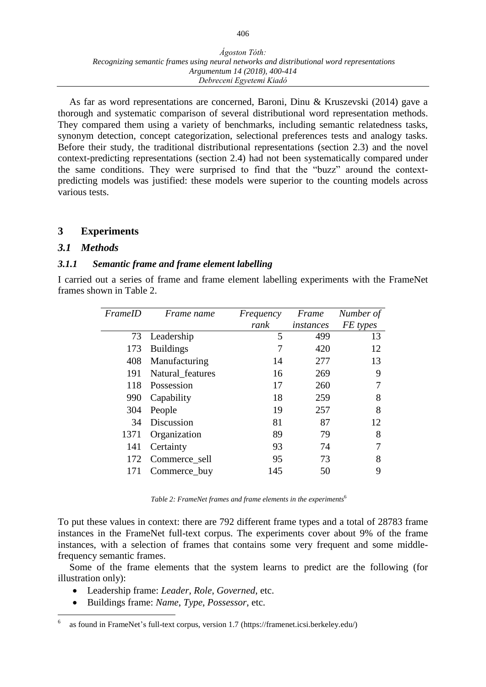As far as word representations are concerned, Baroni, Dinu & Kruszevski (2014) gave a thorough and systematic comparison of several distributional word representation methods. They compared them using a variety of benchmarks, including semantic relatedness tasks, synonym detection, concept categorization, selectional preferences tests and analogy tasks. Before their study, the traditional distributional representations (section 2.3) and the novel context-predicting representations (section 2.4) had not been systematically compared under the same conditions. They were surprised to find that the "buzz" around the contextpredicting models was justified: these models were superior to the counting models across various tests.

## **3 Experiments**

#### *3.1 Methods*

 $\overline{a}$ 

#### *3.1.1 Semantic frame and frame element labelling*

I carried out a series of frame and frame element labelling experiments with the FrameNet frames shown in Table 2.

| FrameID | Frame name       | Frequency | Frame     | Number of |
|---------|------------------|-----------|-----------|-----------|
|         |                  | rank      | instances | FE types  |
| 73      | Leadership       | 5         | 499       | 13        |
| 173     | <b>Buildings</b> |           | 420       | 12        |
| 408     | Manufacturing    | 14        | 277       | 13        |
| 191     | Natural_features | 16        | 269       | 9         |
| 118     | Possession       | 17        | 260       |           |
| 990     | Capability       | 18        | 259       | 8         |
| 304     | People           | 19        | 257       | 8         |
| 34      | Discussion       | 81        | 87        | 12        |
| 1371    | Organization     | 89        | 79        | 8         |
| 141     | Certainty        | 93        | 74        |           |
| 172     | Commerce_sell    | 95        | 73        | 8         |
| 171     | Commerce_buy     | 145       | 50        | 9         |

*Table 2: FrameNet frames and frame elements in the experiments*<sup>6</sup>

To put these values in context: there are 792 different frame types and a total of 28783 frame instances in the FrameNet full-text corpus. The experiments cover about 9% of the frame instances, with a selection of frames that contains some very frequent and some middlefrequency semantic frames.

Some of the frame elements that the system learns to predict are the following (for illustration only):

- Leadership frame: *Leader*, *Role*, *Governed*, etc.
- Buildings frame: *Name*, *Type*, *Possessor*, etc.

<sup>6</sup> as found in FrameNet's full-text corpus, version 1.7 (https://framenet.icsi.berkeley.edu/)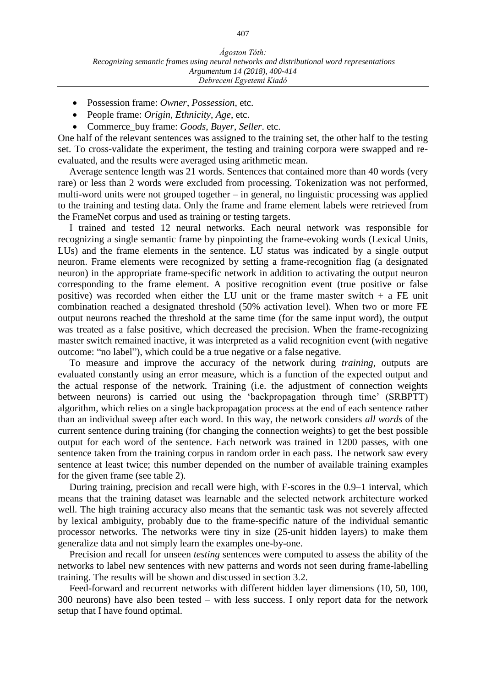- Possession frame: *Owner*, *Possession*, etc.
- People frame: *Origin*, *Ethnicity*, *Age*, etc.
- Commerce\_buy frame: *Goods*, *Buyer*, *Seller*. etc.

One half of the relevant sentences was assigned to the training set, the other half to the testing set. To cross-validate the experiment, the testing and training corpora were swapped and reevaluated, and the results were averaged using arithmetic mean.

Average sentence length was 21 words. Sentences that contained more than 40 words (very rare) or less than 2 words were excluded from processing. Tokenization was not performed, multi-word units were not grouped together – in general, no linguistic processing was applied to the training and testing data. Only the frame and frame element labels were retrieved from the FrameNet corpus and used as training or testing targets.

I trained and tested 12 neural networks. Each neural network was responsible for recognizing a single semantic frame by pinpointing the frame-evoking words (Lexical Units, LUs) and the frame elements in the sentence. LU status was indicated by a single output neuron. Frame elements were recognized by setting a frame-recognition flag (a designated neuron) in the appropriate frame-specific network in addition to activating the output neuron corresponding to the frame element. A positive recognition event (true positive or false positive) was recorded when either the LU unit or the frame master switch  $+$  a FE unit combination reached a designated threshold (50% activation level). When two or more FE output neurons reached the threshold at the same time (for the same input word), the output was treated as a false positive, which decreased the precision. When the frame-recognizing master switch remained inactive, it was interpreted as a valid recognition event (with negative outcome: "no label"), which could be a true negative or a false negative.

To measure and improve the accuracy of the network during *training*, outputs are evaluated constantly using an error measure, which is a function of the expected output and the actual response of the network. Training (i.e. the adjustment of connection weights between neurons) is carried out using the 'backpropagation through time' (SRBPTT) algorithm, which relies on a single backpropagation process at the end of each sentence rather than an individual sweep after each word. In this way, the network considers *all words* of the current sentence during training (for changing the connection weights) to get the best possible output for each word of the sentence. Each network was trained in 1200 passes, with one sentence taken from the training corpus in random order in each pass. The network saw every sentence at least twice; this number depended on the number of available training examples for the given frame (see table 2).

During training, precision and recall were high, with F-scores in the 0.9–1 interval, which means that the training dataset was learnable and the selected network architecture worked well. The high training accuracy also means that the semantic task was not severely affected by lexical ambiguity, probably due to the frame-specific nature of the individual semantic processor networks. The networks were tiny in size (25-unit hidden layers) to make them generalize data and not simply learn the examples one-by-one.

Precision and recall for unseen *testing* sentences were computed to assess the ability of the networks to label new sentences with new patterns and words not seen during frame-labelling training. The results will be shown and discussed in section 3.2.

Feed-forward and recurrent networks with different hidden layer dimensions (10, 50, 100, 300 neurons) have also been tested – with less success. I only report data for the network setup that I have found optimal.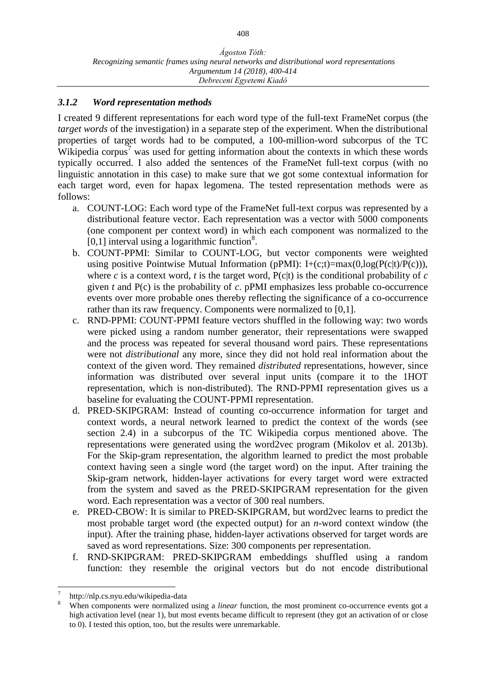#### *3.1.2 Word representation methods*

I created 9 different representations for each word type of the full-text FrameNet corpus (the *target words* of the investigation) in a separate step of the experiment. When the distributional properties of target words had to be computed, a 100-million-word subcorpus of the TC Wikipedia corpus<sup> $\prime$ </sup> was used for getting information about the contexts in which these words typically occurred. I also added the sentences of the FrameNet full-text corpus (with no linguistic annotation in this case) to make sure that we got some contextual information for each target word, even for hapax legomena. The tested representation methods were as follows:

- a. COUNT-LOG: Each word type of the FrameNet full-text corpus was represented by a distributional feature vector. Each representation was a vector with 5000 components (one component per context word) in which each component was normalized to the  $[0,1]$  interval using a logarithmic function<sup>8</sup>.
- b. COUNT-PPMI: Similar to COUNT-LOG, but vector components were weighted using positive Pointwise Mutual Information (pPMI):  $I+(c;t)=max(0,log(P(c|t)/P(c)))$ , where  $c$  is a context word,  $t$  is the target word,  $P(c|t)$  is the conditional probability of  $c$ given *t* and P(c) is the probability of *c*. pPMI emphasizes less probable co-occurrence events over more probable ones thereby reflecting the significance of a co-occurrence rather than its raw frequency. Components were normalized to [0,1].
- c. RND-PPMI: COUNT-PPMI feature vectors shuffled in the following way: two words were picked using a random number generator, their representations were swapped and the process was repeated for several thousand word pairs. These representations were not *distributional* any more, since they did not hold real information about the context of the given word. They remained *distributed* representations, however, since information was distributed over several input units (compare it to the 1HOT representation, which is non-distributed). The RND-PPMI representation gives us a baseline for evaluating the COUNT-PPMI representation.
- d. PRED-SKIPGRAM: Instead of counting co-occurrence information for target and context words, a neural network learned to predict the context of the words (see section 2.4) in a subcorpus of the TC Wikipedia corpus mentioned above. The representations were generated using the word2vec program (Mikolov et al. 2013b). For the Skip-gram representation, the algorithm learned to predict the most probable context having seen a single word (the target word) on the input. After training the Skip-gram network, hidden-layer activations for every target word were extracted from the system and saved as the PRED-SKIPGRAM representation for the given word. Each representation was a vector of 300 real numbers.
- e. PRED-CBOW: It is similar to PRED-SKIPGRAM, but word2vec learns to predict the most probable target word (the expected output) for an *n*-word context window (the input). After the training phase, hidden-layer activations observed for target words are saved as word representations. Size: 300 components per representation.
- f. RND-SKIPGRAM: PRED-SKIPGRAM embeddings shuffled using a random function: they resemble the original vectors but do not encode distributional

 $\overline{a}$ 7 http://nlp.cs.nyu.edu/wikipedia-data

<sup>8</sup> When components were normalized using a *linear* function, the most prominent co-occurrence events got a high activation level (near 1), but most events became difficult to represent (they got an activation of or close to 0). I tested this option, too, but the results were unremarkable.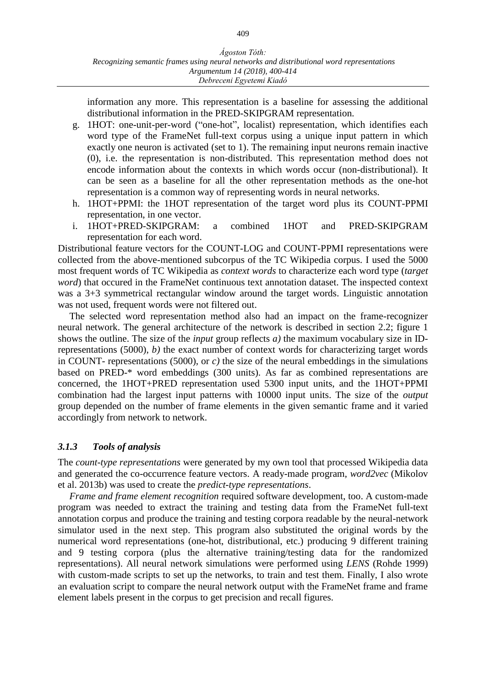information any more. This representation is a baseline for assessing the additional distributional information in the PRED-SKIPGRAM representation.

- g. 1HOT: one-unit-per-word ("one-hot", localist) representation, which identifies each word type of the FrameNet full-text corpus using a unique input pattern in which exactly one neuron is activated (set to 1). The remaining input neurons remain inactive (0), i.e. the representation is non-distributed. This representation method does not encode information about the contexts in which words occur (non-distributional). It can be seen as a baseline for all the other representation methods as the one-hot representation is a common way of representing words in neural networks.
- h. 1HOT+PPMI: the 1HOT representation of the target word plus its COUNT-PPMI representation, in one vector.
- i. 1HOT+PRED-SKIPGRAM: a combined 1HOT and PRED-SKIPGRAM representation for each word.

Distributional feature vectors for the COUNT-LOG and COUNT-PPMI representations were collected from the above-mentioned subcorpus of the TC Wikipedia corpus. I used the 5000 most frequent words of TC Wikipedia as *context words* to characterize each word type (*target word*) that occured in the FrameNet continuous text annotation dataset. The inspected context was a 3+3 symmetrical rectangular window around the target words. Linguistic annotation was not used, frequent words were not filtered out.

The selected word representation method also had an impact on the frame-recognizer neural network. The general architecture of the network is described in section 2.2; figure 1 shows the outline. The size of the *input* group reflects *a)* the maximum vocabulary size in IDrepresentations (5000), *b)* the exact number of context words for characterizing target words in COUNT- representations (5000), or *c)* the size of the neural embeddings in the simulations based on PRED-\* word embeddings (300 units). As far as combined representations are concerned, the 1HOT+PRED representation used 5300 input units, and the 1HOT+PPMI combination had the largest input patterns with 10000 input units. The size of the *output* group depended on the number of frame elements in the given semantic frame and it varied accordingly from network to network.

#### *3.1.3 Tools of analysis*

The *count-type representations* were generated by my own tool that processed Wikipedia data and generated the co-occurrence feature vectors. A ready-made program, *word2vec* (Mikolov et al. 2013b) was used to create the *predict-type representations*.

*Frame and frame element recognition* required software development, too. A custom-made program was needed to extract the training and testing data from the FrameNet full-text annotation corpus and produce the training and testing corpora readable by the neural-network simulator used in the next step. This program also substituted the original words by the numerical word representations (one-hot, distributional, etc.) producing 9 different training and 9 testing corpora (plus the alternative training/testing data for the randomized representations). All neural network simulations were performed using *LENS* (Rohde 1999) with custom-made scripts to set up the networks, to train and test them. Finally, I also wrote an evaluation script to compare the neural network output with the FrameNet frame and frame element labels present in the corpus to get precision and recall figures.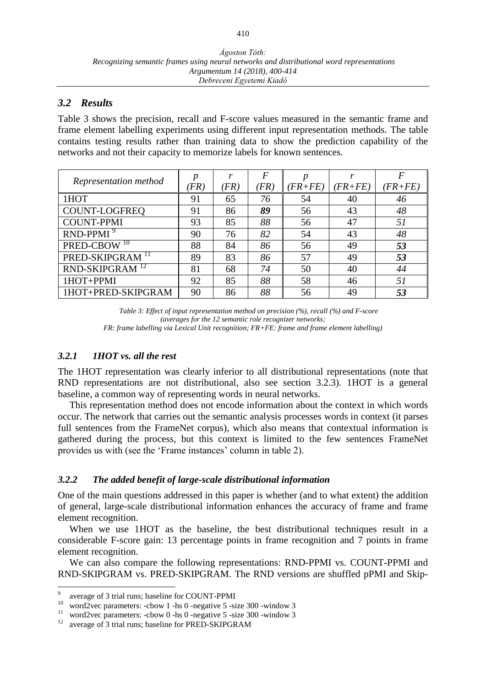#### *3.2 Results*

Table 3 shows the precision, recall and F-score values measured in the semantic frame and frame element labelling experiments using different input representation methods. The table contains testing results rather than training data to show the prediction capability of the networks and not their capacity to memorize labels for known sentences.

| Representation method       |         |      | F   |           |             | F         |
|-----------------------------|---------|------|-----|-----------|-------------|-----------|
|                             | $'FR$ ) | 'FR) | FR) | $(FR+FE)$ | $(FR + FE)$ | $(FR+FE)$ |
| 1HOT                        | 91      | 65   | 76  | 54        | 40          | 46        |
| COUNT-LOGFREQ               | 91      | 86   | 89  | 56        | 43          | 48        |
| <b>COUNT-PPMI</b>           | 93      | 85   | 88  | 56        | 47          | 51        |
| $RND-PPMI9$                 | 90      | 76   | 82  | 54        | 43          | 48        |
| PRED-CBOW <sup>10</sup>     | 88      | 84   | 86  | 56        | 49          | 53        |
| PRED-SKIPGRAM <sup>11</sup> | 89      | 83   | 86  | 57        | 49          | 53        |
| RND-SKIPGRAM <sup>12</sup>  | 81      | 68   | 74  | 50        | 40          | 44        |
| 1HOT+PPMI                   | 92      | 85   | 88  | 58        | 46          | 51        |
| 1HOT+PRED-SKIPGRAM          | 90      | 86   | 88  | 56        | 49          | 53        |

*Table 3: Effect of input representation method on precision (%), recall (%) and F-score (averages for the 12 semantic role recognizer networks; FR: frame labelling via Lexical Unit recognition; FR+FE: frame and frame element labelling)*

#### *3.2.1 1HOT vs. all the rest*

The 1HOT representation was clearly inferior to all distributional representations (note that RND representations are not distributional, also see section 3.2.3). 1HOT is a general baseline, a common way of representing words in neural networks.

This representation method does not encode information about the context in which words occur. The network that carries out the semantic analysis processes words in context (it parses full sentences from the FrameNet corpus), which also means that contextual information is gathered during the process, but this context is limited to the few sentences FrameNet provides us with (see the 'Frame instances' column in table 2).

#### *3.2.2 The added benefit of large-scale distributional information*

One of the main questions addressed in this paper is whether (and to what extent) the addition of general, large-scale distributional information enhances the accuracy of frame and frame element recognition.

When we use 1HOT as the baseline, the best distributional techniques result in a considerable F-score gain: 13 percentage points in frame recognition and 7 points in frame element recognition.

We can also compare the following representations: RND-PPMI vs. COUNT-PPMI and RND-SKIPGRAM vs. PRED-SKIPGRAM. The RND versions are shuffled pPMI and Skip-

 $\overline{a}$ 

<sup>9</sup> average of 3 trial runs; baseline for COUNT-PPMI

<sup>10</sup> word2vec parameters:  $-$ cbow 1  $-$ hs 0  $-$ negative 5  $-$ size 300  $-$ window 3

<sup>&</sup>lt;sup>11</sup> word2vec parameters: -cbow 0 -hs 0 -negative 5 -size 300 -window 3

<sup>&</sup>lt;sup>12</sup> average of 3 trial runs; baseline for PRED-SKIPGRAM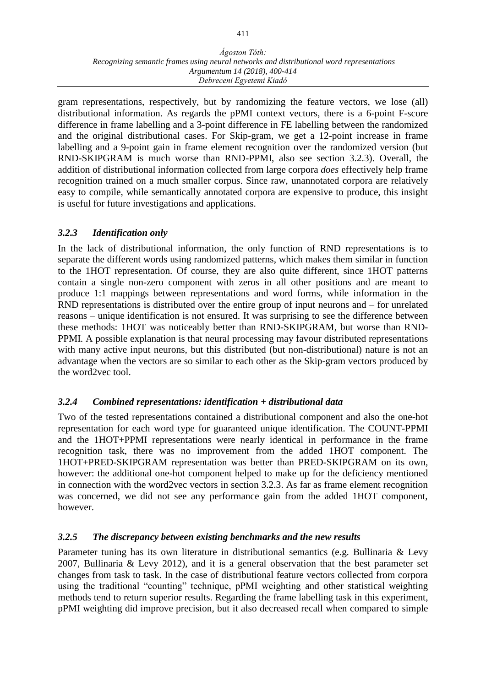#### *Ágoston Tóth: Recognizing semantic frames using neural networks and distributional word representations Argumentum 14 (2018), 400-414 Debreceni Egyetemi Kiadó*

gram representations, respectively, but by randomizing the feature vectors, we lose (all) distributional information. As regards the pPMI context vectors, there is a 6-point F-score difference in frame labelling and a 3-point difference in FE labelling between the randomized and the original distributional cases. For Skip-gram, we get a 12-point increase in frame labelling and a 9-point gain in frame element recognition over the randomized version (but RND-SKIPGRAM is much worse than RND-PPMI, also see section 3.2.3). Overall, the addition of distributional information collected from large corpora *does* effectively help frame recognition trained on a much smaller corpus. Since raw, unannotated corpora are relatively easy to compile, while semantically annotated corpora are expensive to produce, this insight is useful for future investigations and applications.

### *3.2.3 Identification only*

In the lack of distributional information, the only function of RND representations is to separate the different words using randomized patterns, which makes them similar in function to the 1HOT representation. Of course, they are also quite different, since 1HOT patterns contain a single non-zero component with zeros in all other positions and are meant to produce 1:1 mappings between representations and word forms, while information in the RND representations is distributed over the entire group of input neurons and – for unrelated reasons – unique identification is not ensured. It was surprising to see the difference between these methods: 1HOT was noticeably better than RND-SKIPGRAM, but worse than RND-PPMI. A possible explanation is that neural processing may favour distributed representations with many active input neurons, but this distributed (but non-distributional) nature is not an advantage when the vectors are so similar to each other as the Skip-gram vectors produced by the word2vec tool.

#### *3.2.4 Combined representations: identification + distributional data*

Two of the tested representations contained a distributional component and also the one-hot representation for each word type for guaranteed unique identification. The COUNT-PPMI and the 1HOT+PPMI representations were nearly identical in performance in the frame recognition task, there was no improvement from the added 1HOT component. The 1HOT+PRED-SKIPGRAM representation was better than PRED-SKIPGRAM on its own, however: the additional one-hot component helped to make up for the deficiency mentioned in connection with the word2vec vectors in section 3.2.3. As far as frame element recognition was concerned, we did not see any performance gain from the added 1HOT component, however.

#### *3.2.5 The discrepancy between existing benchmarks and the new results*

Parameter tuning has its own literature in distributional semantics (e.g. Bullinaria & Levy 2007, Bullinaria & Levy 2012), and it is a general observation that the best parameter set changes from task to task. In the case of distributional feature vectors collected from corpora using the traditional "counting" technique, pPMI weighting and other statistical weighting methods tend to return superior results. Regarding the frame labelling task in this experiment, pPMI weighting did improve precision, but it also decreased recall when compared to simple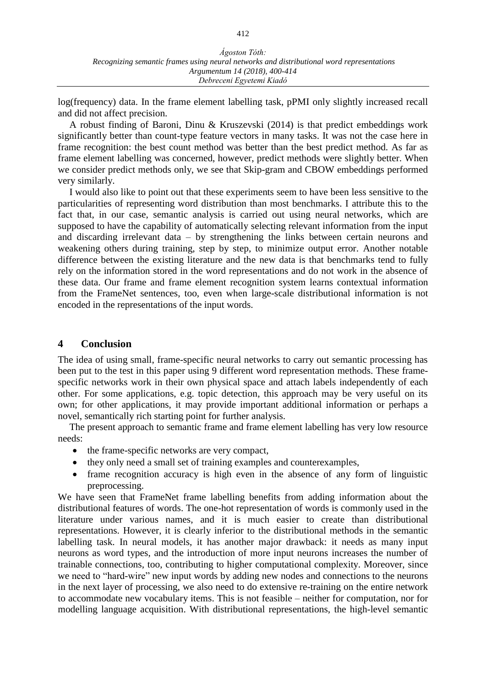log(frequency) data. In the frame element labelling task, pPMI only slightly increased recall and did not affect precision.

A robust finding of Baroni, Dinu & Kruszevski (2014) is that predict embeddings work significantly better than count-type feature vectors in many tasks. It was not the case here in frame recognition: the best count method was better than the best predict method. As far as frame element labelling was concerned, however, predict methods were slightly better. When we consider predict methods only, we see that Skip-gram and CBOW embeddings performed very similarly.

I would also like to point out that these experiments seem to have been less sensitive to the particularities of representing word distribution than most benchmarks. I attribute this to the fact that, in our case, semantic analysis is carried out using neural networks, which are supposed to have the capability of automatically selecting relevant information from the input and discarding irrelevant data – by strengthening the links between certain neurons and weakening others during training, step by step, to minimize output error. Another notable difference between the existing literature and the new data is that benchmarks tend to fully rely on the information stored in the word representations and do not work in the absence of these data. Our frame and frame element recognition system learns contextual information from the FrameNet sentences, too, even when large-scale distributional information is not encoded in the representations of the input words.

#### **4 Conclusion**

The idea of using small, frame-specific neural networks to carry out semantic processing has been put to the test in this paper using 9 different word representation methods. These framespecific networks work in their own physical space and attach labels independently of each other. For some applications, e.g. topic detection, this approach may be very useful on its own; for other applications, it may provide important additional information or perhaps a novel, semantically rich starting point for further analysis.

The present approach to semantic frame and frame element labelling has very low resource needs:

- the frame-specific networks are very compact,
- they only need a small set of training examples and counterexamples,
- frame recognition accuracy is high even in the absence of any form of linguistic preprocessing.

We have seen that FrameNet frame labelling benefits from adding information about the distributional features of words. The one-hot representation of words is commonly used in the literature under various names, and it is much easier to create than distributional representations. However, it is clearly inferior to the distributional methods in the semantic labelling task. In neural models, it has another major drawback: it needs as many input neurons as word types, and the introduction of more input neurons increases the number of trainable connections, too, contributing to higher computational complexity. Moreover, since we need to "hard-wire" new input words by adding new nodes and connections to the neurons in the next layer of processing, we also need to do extensive re-training on the entire network to accommodate new vocabulary items. This is not feasible – neither for computation, nor for modelling language acquisition. With distributional representations, the high-level semantic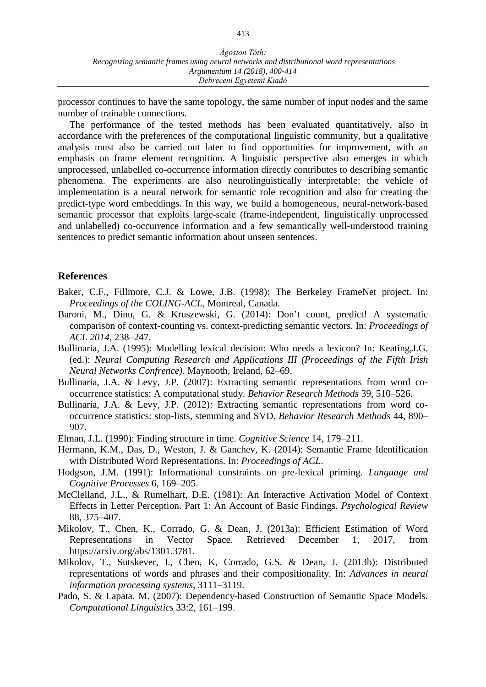processor continues to have the same topology, the same number of input nodes and the same number of trainable connections.

The performance of the tested methods has been evaluated quantitatively, also in accordance with the preferences of the computational linguistic community, but a qualitative analysis must also be carried out later to find opportunities for improvement, with an emphasis on frame element recognition. A linguistic perspective also emerges in which unprocessed, unlabelled co-occurrence information directly contributes to describing semantic phenomena. The experiments are also neurolinguistically interpretable: the vehicle of implementation is a neural network for semantic role recognition and also for creating the predict-type word embeddings. In this way, we build a homogeneous, neural-network-based semantic processor that exploits large-scale (frame-independent, linguistically unprocessed and unlabelled) co-occurrence information and a few semantically well-understood training sentences to predict semantic information about unseen sentences.

#### **References**

- Baker, C.F., Fillmore, C.J. & Lowe, J.B. (1998): The Berkeley FrameNet project. In: *Proceedings of the COLING-ACL*, Montreal, Canada.
- Baroni, M., Dinu, G. & Kruszewski, G. (2014): Don't count, predict! A systematic comparison of context-counting vs. context-predicting semantic vectors. In: *Proceedings of ACL 2014*, 238–247.
- Bullinaria, J.A. (1995): Modelling lexical decision: Who needs a lexicon? In: Keating,J.G. (ed.): *Neural Computing Research and Applications III (Proceedings of the Fifth Irish Neural Networks Confrence)*. Maynooth, Ireland, 62–69.
- Bullinaria, J.A. & Levy, J.P. (2007): Extracting semantic representations from word cooccurrence statistics: A computational study. *Behavior Research Methods* 39, 510–526.
- Bullinaria, J.A. & Levy, J.P. (2012): Extracting semantic representations from word cooccurrence statistics: stop-lists, stemming and SVD. *Behavior Research Methods* 44, 890– 907.
- Elman, J.L. (1990): Finding structure in time. *Cognitive Science* 14, 179–211.
- Hermann, K.M., Das, D., Weston, J. & Ganchev, K. (2014): Semantic Frame Identification with Distributed Word Representations. In: *Proceedings of ACL*.
- Hodgson, J.M. (1991): Informational constraints on pre-lexical priming. *Language and Cognitive Processes* 6, 169–205.
- McClelland, J.L., & Rumelhart, D.E. (1981): An Interactive Activation Model of Context Effects in Letter Perception. Part 1: An Account of Basic Findings. *Psychological Review* 88, 375–407.
- Mikolov, T., Chen, K., Corrado, G. & Dean, J. (2013a): Efficient Estimation of Word Representations in Vector Space. Retrieved December 1, 2017, from https://arxiv.org/abs/1301.3781.
- Mikolov, T., Sutskever, I., Chen, K, Corrado, G.S. & Dean, J. (2013b): Distributed representations of words and phrases and their compositionality. In: *Advances in neural information processing systems*, 3111–3119.
- Pado, S. & Lapata. M. (2007): Dependency-based Construction of Semantic Space Models. *Computational Linguistics* 33:2, 161–199.